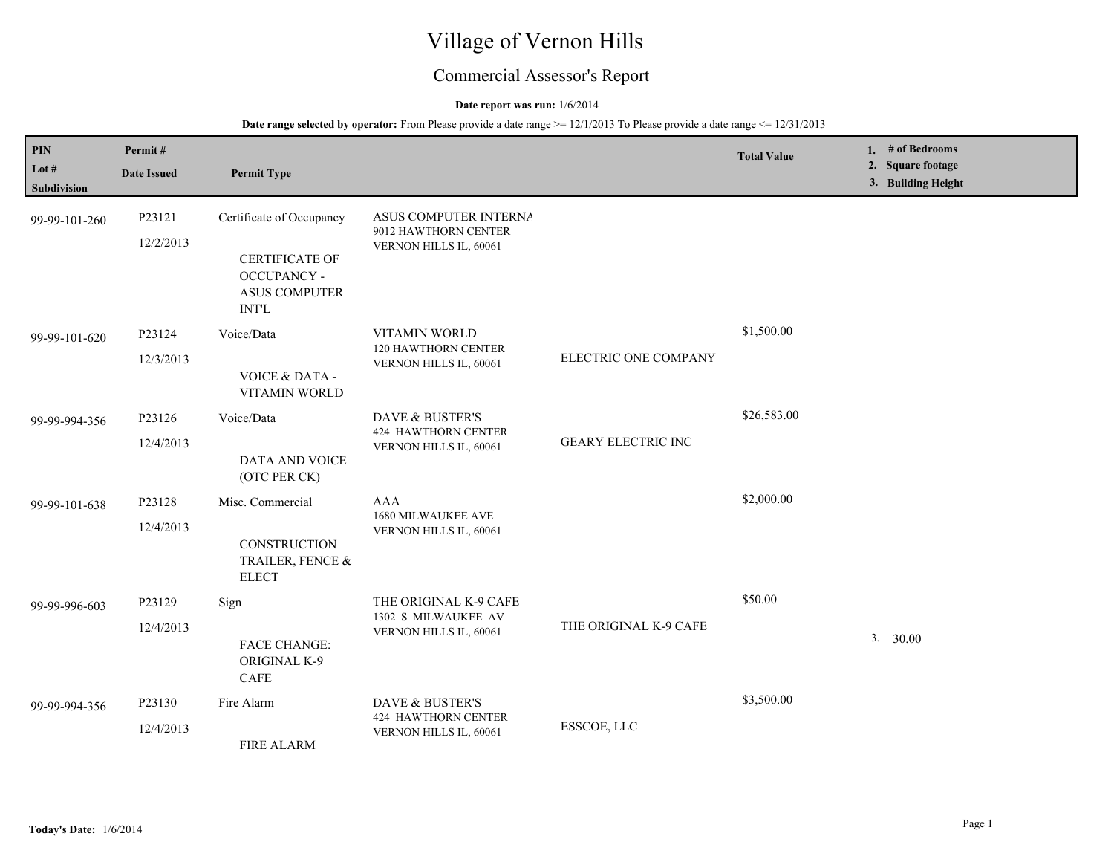# Village of Vernon Hills

# Commercial Assessor's Report

# **Date report was run:** 1/6/2014

**Date range selected by operator:** From Please provide a date range  $\ge$  = 12/1/2013 To Please provide a date range  $\le$  12/31/2013

| PIN<br>Lot #<br>Subdivision | Permit#<br><b>Date Issued</b> | <b>Permit Type</b>                                                                                              |                                                                         |                           | <b>Total Value</b> | 1. $#$ of Bedrooms<br>2. Square footage<br>3. Building Height |
|-----------------------------|-------------------------------|-----------------------------------------------------------------------------------------------------------------|-------------------------------------------------------------------------|---------------------------|--------------------|---------------------------------------------------------------|
| 99-99-101-260               | P23121<br>12/2/2013           | Certificate of Occupancy<br><b>CERTIFICATE OF</b><br><b>OCCUPANCY -</b><br><b>ASUS COMPUTER</b><br><b>INT'L</b> | ASUS COMPUTER INTERNA<br>9012 HAWTHORN CENTER<br>VERNON HILLS IL, 60061 |                           |                    |                                                               |
| 99-99-101-620               | P23124<br>12/3/2013           | Voice/Data<br><b>VOICE &amp; DATA -</b><br>VITAMIN WORLD                                                        | VITAMIN WORLD<br>120 HAWTHORN CENTER<br>VERNON HILLS IL, 60061          | ELECTRIC ONE COMPANY      | \$1,500.00         |                                                               |
| 99-99-994-356               | P23126<br>12/4/2013           | Voice/Data<br>DATA AND VOICE<br>(OTC PER CK)                                                                    | DAVE & BUSTER'S<br><b>424 HAWTHORN CENTER</b><br>VERNON HILLS IL, 60061 | <b>GEARY ELECTRIC INC</b> | \$26,583.00        |                                                               |
| 99-99-101-638               | P23128<br>12/4/2013           | Misc. Commercial<br>CONSTRUCTION<br>TRAILER, FENCE &<br><b>ELECT</b>                                            | <b>AAA</b><br>1680 MILWAUKEE AVE<br>VERNON HILLS IL, 60061              |                           | \$2,000.00         |                                                               |
| 99-99-996-603               | P23129<br>12/4/2013           | Sign<br><b>FACE CHANGE:</b><br>ORIGINAL K-9<br>CAFE                                                             | THE ORIGINAL K-9 CAFE<br>1302 S MILWAUKEE AV<br>VERNON HILLS IL, 60061  | THE ORIGINAL K-9 CAFE     | \$50.00            | 3.<br>30.00                                                   |
| 99-99-994-356               | P23130<br>12/4/2013           | Fire Alarm<br><b>FIRE ALARM</b>                                                                                 | DAVE & BUSTER'S<br>424 HAWTHORN CENTER<br>VERNON HILLS IL, 60061        | ESSCOE, LLC               | \$3,500.00         |                                                               |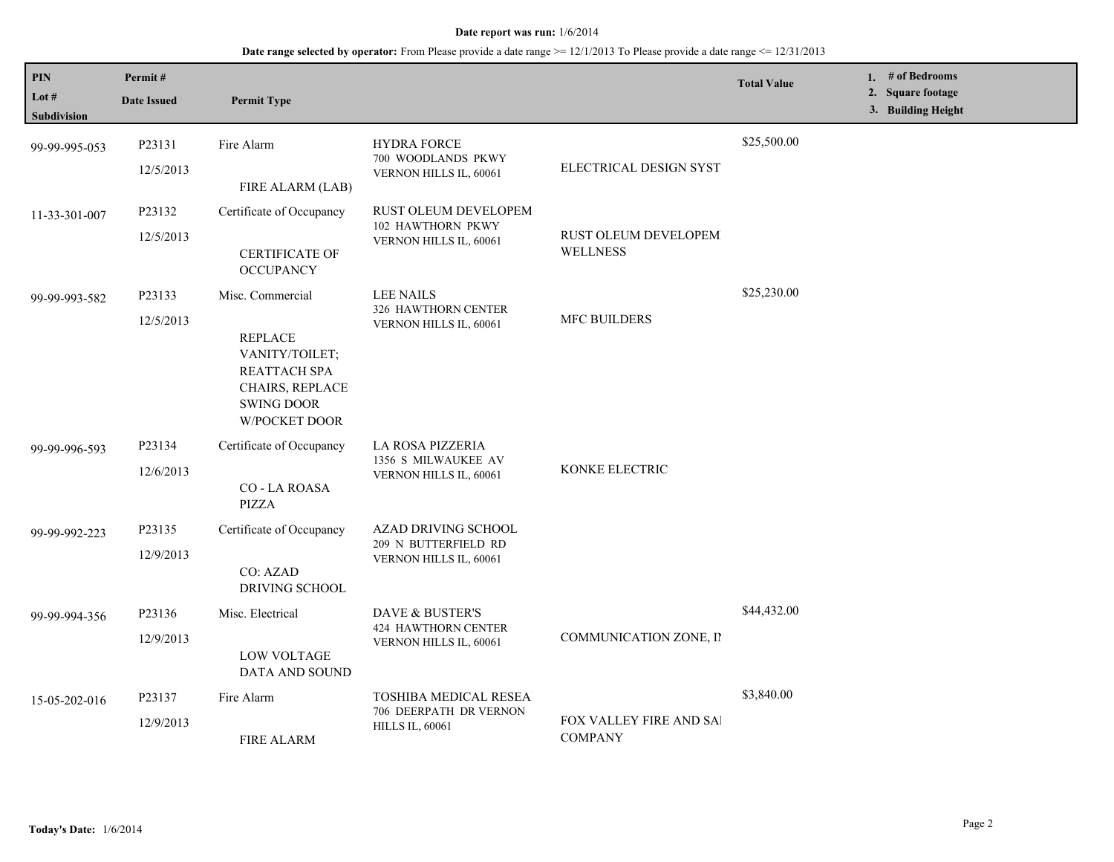# **Date range selected by operator:** From Please provide a date range  $\ge$  = 12/1/2013 To Please provide a date range  $\le$  12/31/2013

| <b>PIN</b><br>Lot $#$<br>Subdivision | Permit#<br><b>Date Issued</b> | <b>Permit Type</b>                                                                                                            |                                                                            |                                           | <b>Total Value</b> | 1. # of Bedrooms<br>2. Square footage<br>3. Building Height |
|--------------------------------------|-------------------------------|-------------------------------------------------------------------------------------------------------------------------------|----------------------------------------------------------------------------|-------------------------------------------|--------------------|-------------------------------------------------------------|
| 99-99-995-053                        | P23131<br>12/5/2013           | Fire Alarm<br>FIRE ALARM (LAB)                                                                                                | <b>HYDRA FORCE</b><br>700 WOODLANDS PKWY<br>VERNON HILLS IL, 60061         | ELECTRICAL DESIGN SYST                    | \$25,500.00        |                                                             |
| 11-33-301-007                        | P23132<br>12/5/2013           | Certificate of Occupancy<br><b>CERTIFICATE OF</b><br><b>OCCUPANCY</b>                                                         | <b>RUST OLEUM DEVELOPEM</b><br>102 HAWTHORN PKWY<br>VERNON HILLS IL, 60061 | RUST OLEUM DEVELOPEM<br><b>WELLNESS</b>   |                    |                                                             |
| 99-99-993-582                        | P23133<br>12/5/2013           | Misc. Commercial<br><b>REPLACE</b><br>VANITY/TOILET;<br>REATTACH SPA<br>CHAIRS, REPLACE<br><b>SWING DOOR</b><br>W/POCKET DOOR | <b>LEE NAILS</b><br>326 HAWTHORN CENTER<br>VERNON HILLS IL, 60061          | <b>MFC BUILDERS</b>                       | \$25,230.00        |                                                             |
| 99-99-996-593                        | P23134<br>12/6/2013           | Certificate of Occupancy<br>CO - LA ROASA<br>PIZZA                                                                            | LA ROSA PIZZERIA<br>1356 S MILWAUKEE AV<br>VERNON HILLS IL, 60061          | KONKE ELECTRIC                            |                    |                                                             |
| 99-99-992-223                        | P23135<br>12/9/2013           | Certificate of Occupancy<br>CO: AZAD<br>DRIVING SCHOOL                                                                        | AZAD DRIVING SCHOOL<br>209 N BUTTERFIELD RD<br>VERNON HILLS IL, 60061      |                                           |                    |                                                             |
| 99-99-994-356                        | P23136<br>12/9/2013           | Misc. Electrical<br><b>LOW VOLTAGE</b><br>DATA AND SOUND                                                                      | DAVE & BUSTER'S<br><b>424 HAWTHORN CENTER</b><br>VERNON HILLS IL, 60061    | COMMUNICATION ZONE, II                    | \$44,432.00        |                                                             |
| 15-05-202-016                        | P23137<br>12/9/2013           | Fire Alarm<br><b>FIRE ALARM</b>                                                                                               | TOSHIBA MEDICAL RESEA<br>706 DEERPATH DR VERNON<br><b>HILLS IL, 60061</b>  | FOX VALLEY FIRE AND SAI<br><b>COMPANY</b> | \$3,840.00         |                                                             |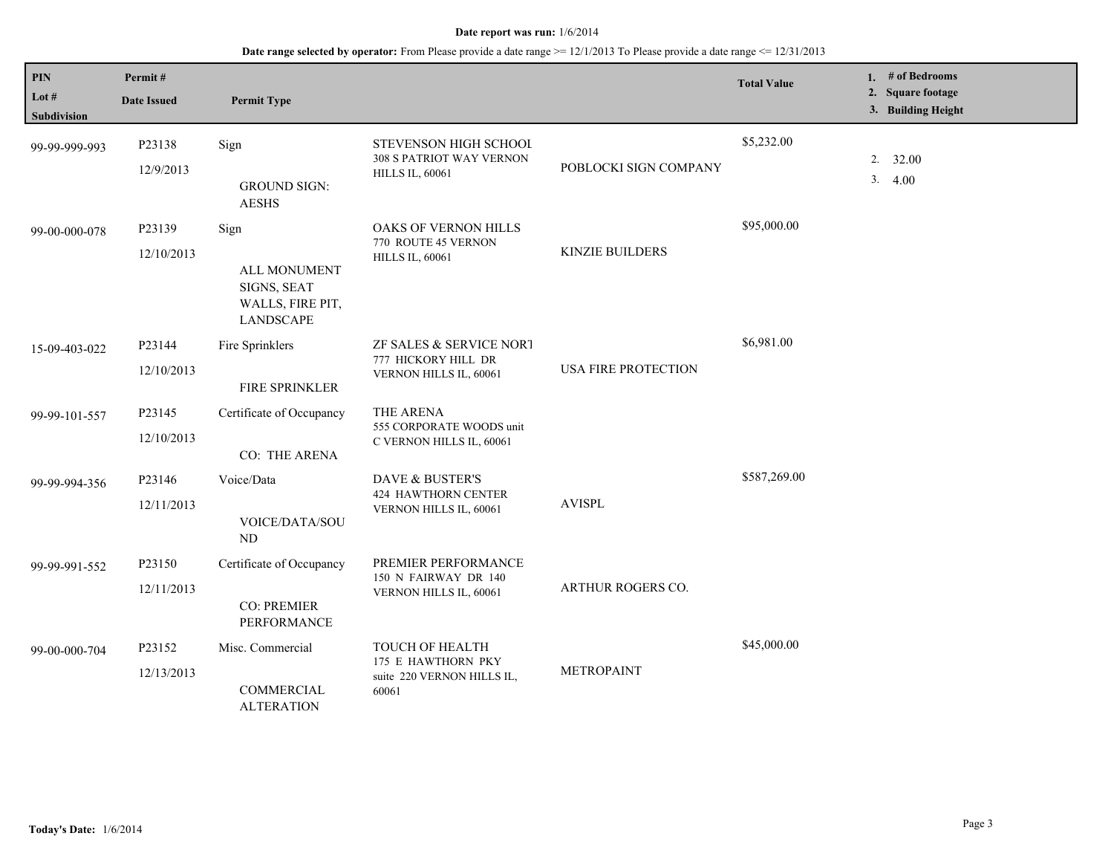# **Date range selected by operator:** From Please provide a date range  $\ge$  = 12/1/2013 To Please provide a date range <= 12/31/2013

| PIN<br>Lot $#$<br><b>Subdivision</b> | Permit#<br><b>Date Issued</b> | <b>Permit Type</b>                                                          |                                                                              |                            | <b>Total Value</b> | 1. # of Bedrooms<br>2. Square footage<br>3. Building Height |
|--------------------------------------|-------------------------------|-----------------------------------------------------------------------------|------------------------------------------------------------------------------|----------------------------|--------------------|-------------------------------------------------------------|
| 99-99-999-993                        | P23138<br>12/9/2013           | Sign<br><b>GROUND SIGN:</b><br><b>AESHS</b>                                 | STEVENSON HIGH SCHOOL<br>308 S PATRIOT WAY VERNON<br><b>HILLS IL, 60061</b>  | POBLOCKI SIGN COMPANY      | \$5,232.00         | 2.32.00<br>3.4.00                                           |
| 99-00-000-078                        | P23139<br>12/10/2013          | Sign<br>ALL MONUMENT<br>SIGNS, SEAT<br>WALLS, FIRE PIT,<br><b>LANDSCAPE</b> | OAKS OF VERNON HILLS<br>770 ROUTE 45 VERNON<br><b>HILLS IL, 60061</b>        | <b>KINZIE BUILDERS</b>     | \$95,000.00        |                                                             |
| 15-09-403-022                        | P23144<br>12/10/2013          | Fire Sprinklers<br>FIRE SPRINKLER                                           | ZF SALES & SERVICE NORT<br>777 HICKORY HILL DR<br>VERNON HILLS IL, 60061     | <b>USA FIRE PROTECTION</b> | \$6,981.00         |                                                             |
| 99-99-101-557                        | P23145<br>12/10/2013          | Certificate of Occupancy<br>CO: THE ARENA                                   | THE ARENA<br>555 CORPORATE WOODS unit<br>C VERNON HILLS IL, 60061            |                            |                    |                                                             |
| 99-99-994-356                        | P23146<br>12/11/2013          | Voice/Data<br>VOICE/DATA/SOU<br>ND                                          | DAVE & BUSTER'S<br>424 HAWTHORN CENTER<br>VERNON HILLS IL, 60061             | <b>AVISPL</b>              | \$587,269.00       |                                                             |
| 99-99-991-552                        | P23150<br>12/11/2013          | Certificate of Occupancy<br><b>CO: PREMIER</b><br>PERFORMANCE               | PREMIER PERFORMANCE<br>150 N FAIRWAY DR 140<br>VERNON HILLS IL, 60061        | ARTHUR ROGERS CO.          |                    |                                                             |
| 99-00-000-704                        | P23152<br>12/13/2013          | Misc. Commercial<br>COMMERCIAL<br><b>ALTERATION</b>                         | TOUCH OF HEALTH<br>175 E HAWTHORN PKY<br>suite 220 VERNON HILLS IL,<br>60061 | <b>METROPAINT</b>          | \$45,000.00        |                                                             |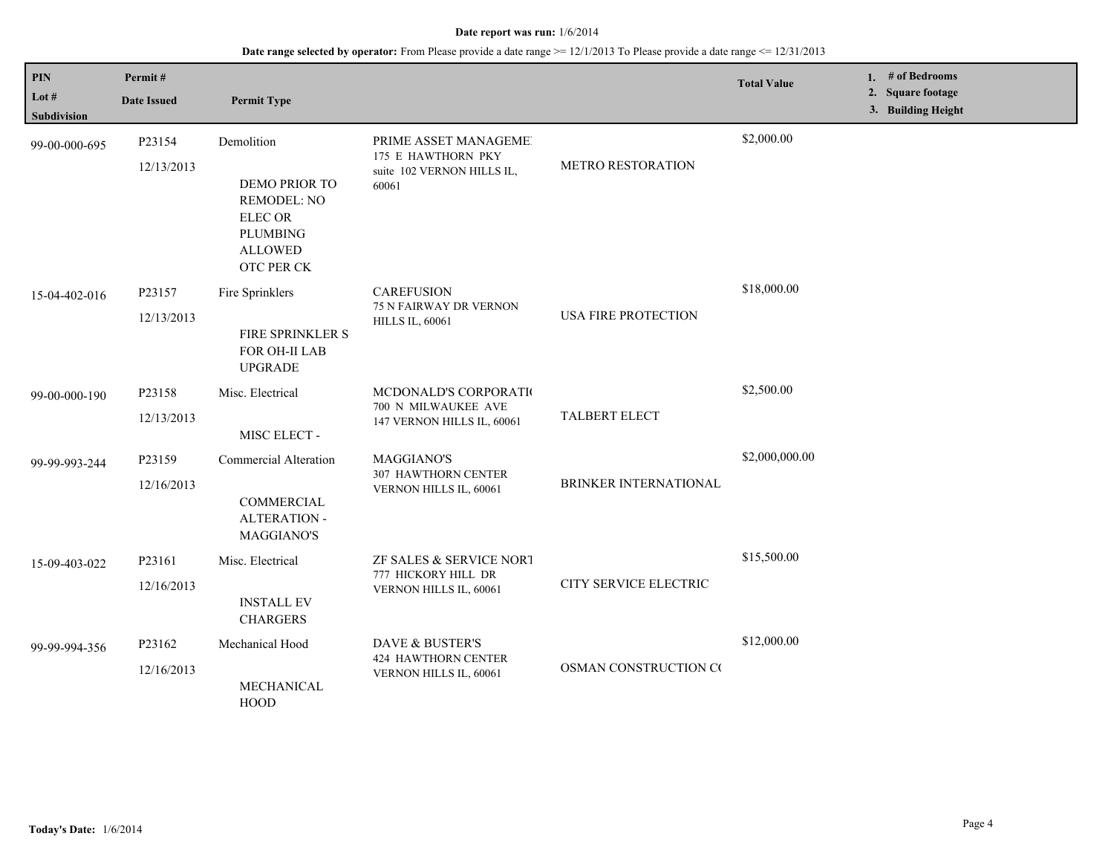# **Date range selected by operator:** From Please provide a date range >= 12/1/2013 To Please provide a date range <= 12/31/2013

| PIN<br>Lot #<br><b>Subdivision</b> | Permit#<br><b>Date Issued</b> | <b>Permit Type</b>                                                                                                           |                                                                                    |                          | <b>Total Value</b> | 1. # of Bedrooms<br>2. Square footage<br>3. Building Height |
|------------------------------------|-------------------------------|------------------------------------------------------------------------------------------------------------------------------|------------------------------------------------------------------------------------|--------------------------|--------------------|-------------------------------------------------------------|
| 99-00-000-695                      | P23154<br>12/13/2013          | Demolition<br><b>DEMO PRIOR TO</b><br><b>REMODEL: NO</b><br><b>ELECOR</b><br><b>PLUMBING</b><br><b>ALLOWED</b><br>OTC PER CK | PRIME ASSET MANAGEME!<br>175 E HAWTHORN PKY<br>suite 102 VERNON HILLS IL,<br>60061 | <b>METRO RESTORATION</b> | \$2,000.00         |                                                             |
| 15-04-402-016                      | P23157<br>12/13/2013          | Fire Sprinklers<br>FIRE SPRINKLER S<br>FOR OH-II LAB<br><b>UPGRADE</b>                                                       | <b>CAREFUSION</b><br>75 N FAIRWAY DR VERNON<br><b>HILLS IL, 60061</b>              | USA FIRE PROTECTION      | \$18,000.00        |                                                             |
| 99-00-000-190                      | P23158<br>12/13/2013          | Misc. Electrical<br>MISC ELECT -                                                                                             | MCDONALD'S CORPORATIO<br>700 N MILWAUKEE AVE<br>147 VERNON HILLS IL, 60061         | TALBERT ELECT            | \$2,500.00         |                                                             |
| 99-99-993-244                      | P23159<br>12/16/2013          | <b>Commercial Alteration</b><br>COMMERCIAL<br><b>ALTERATION -</b><br><b>MAGGIANO'S</b>                                       | <b>MAGGIANO'S</b><br>307 HAWTHORN CENTER<br>VERNON HILLS IL, 60061                 | BRINKER INTERNATIONAL    | \$2,000,000.00     |                                                             |
| 15-09-403-022                      | P23161<br>12/16/2013          | Misc. Electrical<br><b>INSTALL EV</b><br><b>CHARGERS</b>                                                                     | ZF SALES & SERVICE NORT<br>777 HICKORY HILL DR<br>VERNON HILLS IL, 60061           | CITY SERVICE ELECTRIC    | \$15,500.00        |                                                             |
| 99-99-994-356                      | P23162<br>12/16/2013          | Mechanical Hood<br>MECHANICAL<br><b>HOOD</b>                                                                                 | DAVE & BUSTER'S<br><b>424 HAWTHORN CENTER</b><br>VERNON HILLS IL, 60061            | OSMAN CONSTRUCTION CO    | \$12,000.00        |                                                             |

L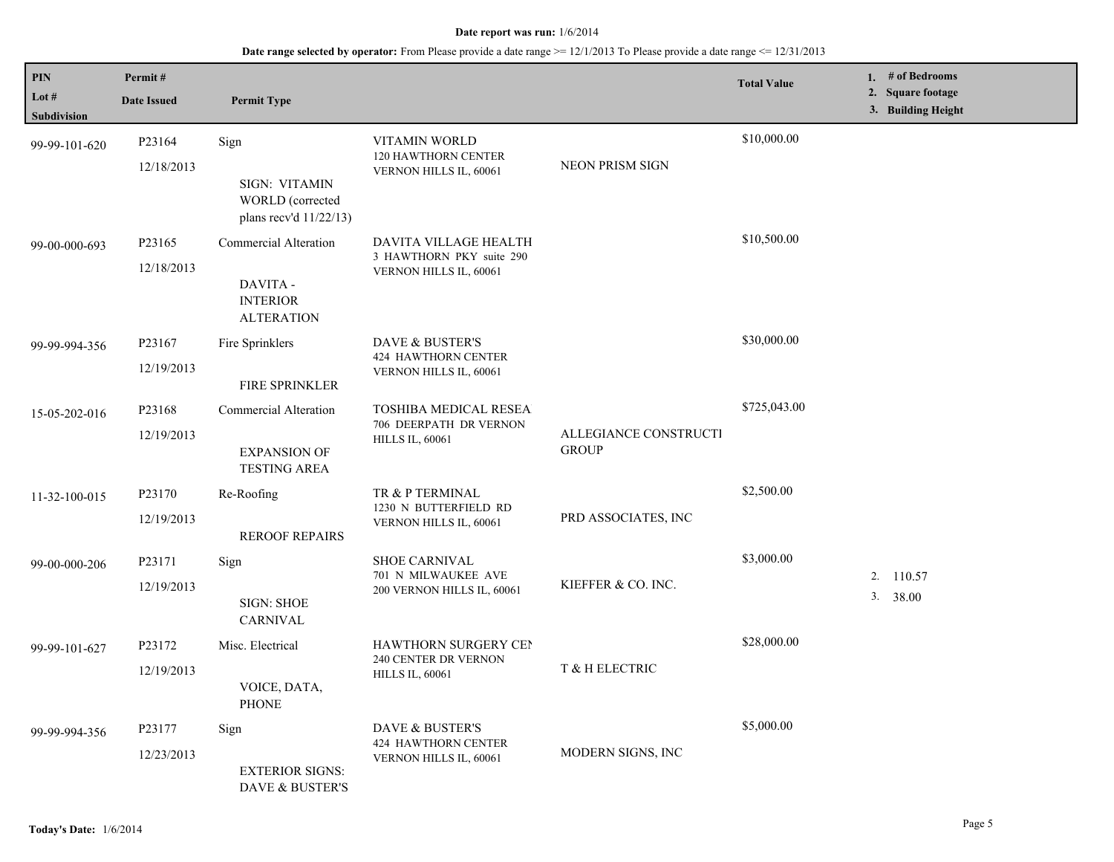# **Date range selected by operator:** From Please provide a date range >= 12/1/2013 To Please provide a date range <= 12/31/2013

| <b>PIN</b><br>Lot $#$<br>Subdivision | Permit#<br><b>Date Issued</b>    | <b>Permit Type</b>                                                               |                                                                               |                                       | <b>Total Value</b> | 1. $#$ of Bedrooms<br>2. Square footage<br>3. Building Height |
|--------------------------------------|----------------------------------|----------------------------------------------------------------------------------|-------------------------------------------------------------------------------|---------------------------------------|--------------------|---------------------------------------------------------------|
| 99-99-101-620                        | P23164<br>12/18/2013             | Sign<br>SIGN: VITAMIN<br>WORLD (corrected<br>plans recv'd 11/22/13)              | VITAMIN WORLD<br>120 HAWTHORN CENTER<br>VERNON HILLS IL, 60061                | NEON PRISM SIGN                       | \$10,000.00        |                                                               |
| 99-00-000-693                        | P23165<br>12/18/2013             | <b>Commercial Alteration</b><br>DAVITA -<br><b>INTERIOR</b><br><b>ALTERATION</b> | DAVITA VILLAGE HEALTH<br>3 HAWTHORN PKY suite 290<br>VERNON HILLS IL, 60061   |                                       | \$10,500.00        |                                                               |
| 99-99-994-356                        | P23167<br>12/19/2013             | Fire Sprinklers<br><b>FIRE SPRINKLER</b>                                         | DAVE & BUSTER'S<br><b>424 HAWTHORN CENTER</b><br>VERNON HILLS IL, 60061       |                                       | \$30,000.00        |                                                               |
| 15-05-202-016                        | P23168<br>12/19/2013             | <b>Commercial Alteration</b><br><b>EXPANSION OF</b><br><b>TESTING AREA</b>       | TOSHIBA MEDICAL RESEA<br>706 DEERPATH DR VERNON<br><b>HILLS IL, 60061</b>     | ALLEGIANCE CONSTRUCTI<br><b>GROUP</b> | \$725,043.00       |                                                               |
| 11-32-100-015                        | P <sub>23170</sub><br>12/19/2013 | Re-Roofing<br><b>REROOF REPAIRS</b>                                              | TR & P TERMINAL<br>1230 N BUTTERFIELD RD<br>VERNON HILLS IL, 60061            | PRD ASSOCIATES, INC                   | \$2,500.00         |                                                               |
| 99-00-000-206                        | P23171<br>12/19/2013             | Sign<br><b>SIGN: SHOE</b><br><b>CARNIVAL</b>                                     | <b>SHOE CARNIVAL</b><br>701 N MILWAUKEE AVE<br>200 VERNON HILLS IL, 60061     | KIEFFER & CO. INC.                    | \$3,000.00         | 2. 110.57<br>3.<br>38.00                                      |
| 99-99-101-627                        | P <sub>23172</sub><br>12/19/2013 | Misc. Electrical<br>VOICE, DATA,<br><b>PHONE</b>                                 | <b>HAWTHORN SURGERY CEN</b><br>240 CENTER DR VERNON<br><b>HILLS IL, 60061</b> | T & H ELECTRIC                        | \$28,000.00        |                                                               |
| 99-99-994-356                        | P23177<br>12/23/2013             | Sign<br><b>EXTERIOR SIGNS:</b><br>DAVE & BUSTER'S                                | DAVE & BUSTER'S<br><b>424 HAWTHORN CENTER</b><br>VERNON HILLS IL, 60061       | MODERN SIGNS, INC                     | \$5,000.00         |                                                               |